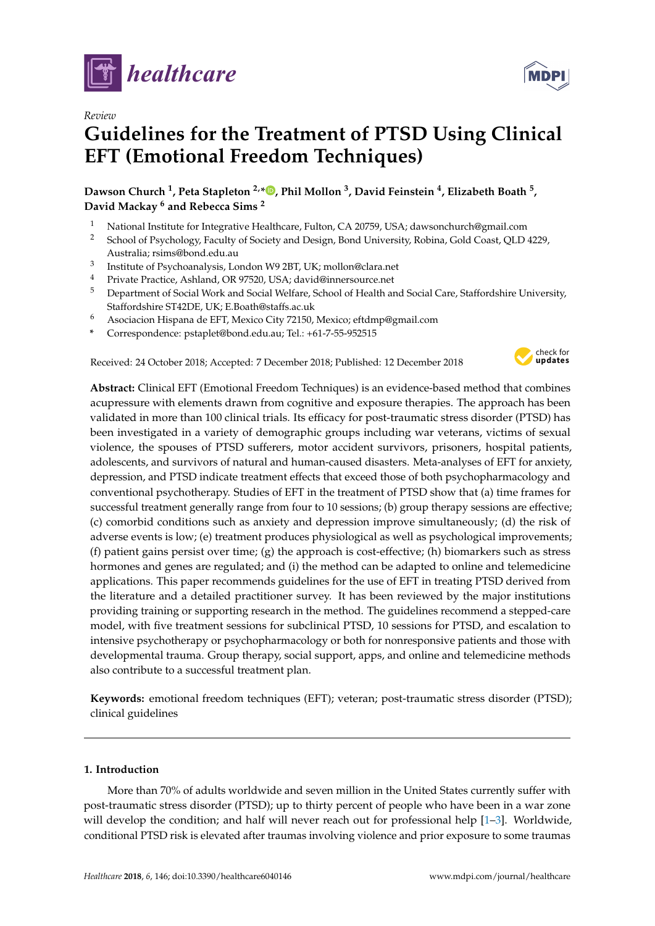

*Review*

# **Guidelines for the Treatment of PTSD Using Clinical EFT (Emotional Freedom Techniques)**

**Dawson Church <sup>1</sup> , Peta Stapleton 2,[\\*](https://orcid.org/0000-0001-9916-7481) , Phil Mollon <sup>3</sup> , David Feinstein <sup>4</sup> , Elizabeth Boath <sup>5</sup> , David Mackay <sup>6</sup> and Rebecca Sims <sup>2</sup>**

- <sup>1</sup> National Institute for Integrative Healthcare, Fulton, CA 20759, USA; dawsonchurch@gmail.com
- <sup>2</sup> School of Psychology, Faculty of Society and Design, Bond University, Robina, Gold Coast, QLD 4229, Australia; rsims@bond.edu.au
- 3 Institute of Psychoanalysis, London W9 2BT, UK; mollon@clara.net
- <sup>4</sup> Private Practice, Ashland, OR 97520, USA; david@innersource.net
- <sup>5</sup> Department of Social Work and Social Welfare, School of Health and Social Care, Staffordshire University, Staffordshire ST42DE, UK; E.Boath@staffs.ac.uk
- <sup>6</sup> Asociacion Hispana de EFT, Mexico City 72150, Mexico; eftdmp@gmail.com
- **\*** Correspondence: pstaplet@bond.edu.au; Tel.: +61-7-55-952515

Received: 24 October 2018; Accepted: 7 December 2018; Published: 12 December 2018



**Abstract:** Clinical EFT (Emotional Freedom Techniques) is an evidence-based method that combines acupressure with elements drawn from cognitive and exposure therapies. The approach has been validated in more than 100 clinical trials. Its efficacy for post-traumatic stress disorder (PTSD) has been investigated in a variety of demographic groups including war veterans, victims of sexual violence, the spouses of PTSD sufferers, motor accident survivors, prisoners, hospital patients, adolescents, and survivors of natural and human-caused disasters. Meta-analyses of EFT for anxiety, depression, and PTSD indicate treatment effects that exceed those of both psychopharmacology and conventional psychotherapy. Studies of EFT in the treatment of PTSD show that (a) time frames for successful treatment generally range from four to 10 sessions; (b) group therapy sessions are effective; (c) comorbid conditions such as anxiety and depression improve simultaneously; (d) the risk of adverse events is low; (e) treatment produces physiological as well as psychological improvements; (f) patient gains persist over time; (g) the approach is cost-effective; (h) biomarkers such as stress hormones and genes are regulated; and (i) the method can be adapted to online and telemedicine applications. This paper recommends guidelines for the use of EFT in treating PTSD derived from the literature and a detailed practitioner survey. It has been reviewed by the major institutions providing training or supporting research in the method. The guidelines recommend a stepped-care model, with five treatment sessions for subclinical PTSD, 10 sessions for PTSD, and escalation to intensive psychotherapy or psychopharmacology or both for nonresponsive patients and those with developmental trauma. Group therapy, social support, apps, and online and telemedicine methods also contribute to a successful treatment plan.

**Keywords:** emotional freedom techniques (EFT); veteran; post-traumatic stress disorder (PTSD); clinical guidelines

# **1. Introduction**

More than 70% of adults worldwide and seven million in the United States currently suffer with post-traumatic stress disorder (PTSD); up to thirty percent of people who have been in a war zone will develop the condition; and half will never reach out for professional help [\[1](#page-10-0)[–3\]](#page-11-0). Worldwide, conditional PTSD risk is elevated after traumas involving violence and prior exposure to some traumas

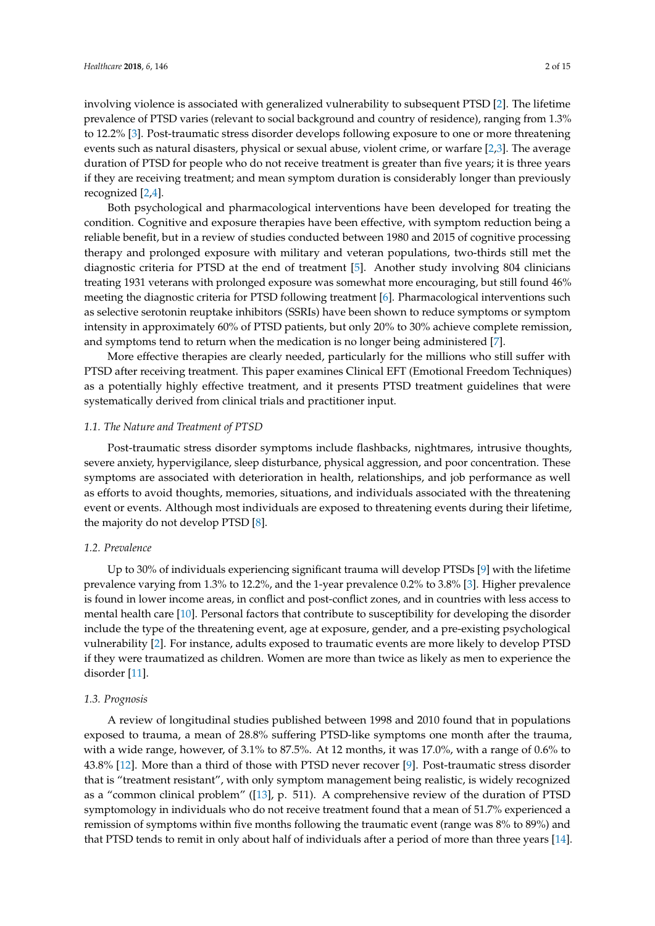involving violence is associated with generalized vulnerability to subsequent PTSD [\[2\]](#page-10-1). The lifetime prevalence of PTSD varies (relevant to social background and country of residence), ranging from 1.3% to 12.2% [\[3\]](#page-11-0). Post-traumatic stress disorder develops following exposure to one or more threatening events such as natural disasters, physical or sexual abuse, violent crime, or warfare [\[2,](#page-10-1)[3\]](#page-11-0). The average duration of PTSD for people who do not receive treatment is greater than five years; it is three years if they are receiving treatment; and mean symptom duration is considerably longer than previously recognized [\[2](#page-10-1)[,4\]](#page-11-1).

Both psychological and pharmacological interventions have been developed for treating the condition. Cognitive and exposure therapies have been effective, with symptom reduction being a reliable benefit, but in a review of studies conducted between 1980 and 2015 of cognitive processing therapy and prolonged exposure with military and veteran populations, two-thirds still met the diagnostic criteria for PTSD at the end of treatment [\[5\]](#page-11-2). Another study involving 804 clinicians treating 1931 veterans with prolonged exposure was somewhat more encouraging, but still found 46% meeting the diagnostic criteria for PTSD following treatment [\[6\]](#page-11-3). Pharmacological interventions such as selective serotonin reuptake inhibitors (SSRIs) have been shown to reduce symptoms or symptom intensity in approximately 60% of PTSD patients, but only 20% to 30% achieve complete remission, and symptoms tend to return when the medication is no longer being administered [\[7\]](#page-11-4).

More effective therapies are clearly needed, particularly for the millions who still suffer with PTSD after receiving treatment. This paper examines Clinical EFT (Emotional Freedom Techniques) as a potentially highly effective treatment, and it presents PTSD treatment guidelines that were systematically derived from clinical trials and practitioner input.

# *1.1. The Nature and Treatment of PTSD*

Post-traumatic stress disorder symptoms include flashbacks, nightmares, intrusive thoughts, severe anxiety, hypervigilance, sleep disturbance, physical aggression, and poor concentration. These symptoms are associated with deterioration in health, relationships, and job performance as well as efforts to avoid thoughts, memories, situations, and individuals associated with the threatening event or events. Although most individuals are exposed to threatening events during their lifetime, the majority do not develop PTSD [\[8\]](#page-11-5).

# *1.2. Prevalence*

Up to 30% of individuals experiencing significant trauma will develop PTSDs [\[9\]](#page-11-6) with the lifetime prevalence varying from 1.3% to 12.2%, and the 1-year prevalence 0.2% to 3.8% [\[3\]](#page-11-0). Higher prevalence is found in lower income areas, in conflict and post-conflict zones, and in countries with less access to mental health care [\[10\]](#page-11-7). Personal factors that contribute to susceptibility for developing the disorder include the type of the threatening event, age at exposure, gender, and a pre-existing psychological vulnerability [\[2\]](#page-10-1). For instance, adults exposed to traumatic events are more likely to develop PTSD if they were traumatized as children. Women are more than twice as likely as men to experience the disorder [\[11\]](#page-11-8).

#### *1.3. Prognosis*

A review of longitudinal studies published between 1998 and 2010 found that in populations exposed to trauma, a mean of 28.8% suffering PTSD-like symptoms one month after the trauma, with a wide range, however, of 3.1% to 87.5%. At 12 months, it was 17.0%, with a range of 0.6% to 43.8% [\[12\]](#page-11-9). More than a third of those with PTSD never recover [\[9\]](#page-11-6). Post-traumatic stress disorder that is "treatment resistant", with only symptom management being realistic, is widely recognized as a "common clinical problem" ([\[13\]](#page-11-10), p. 511). A comprehensive review of the duration of PTSD symptomology in individuals who do not receive treatment found that a mean of 51.7% experienced a remission of symptoms within five months following the traumatic event (range was 8% to 89%) and that PTSD tends to remit in only about half of individuals after a period of more than three years [\[14\]](#page-11-11).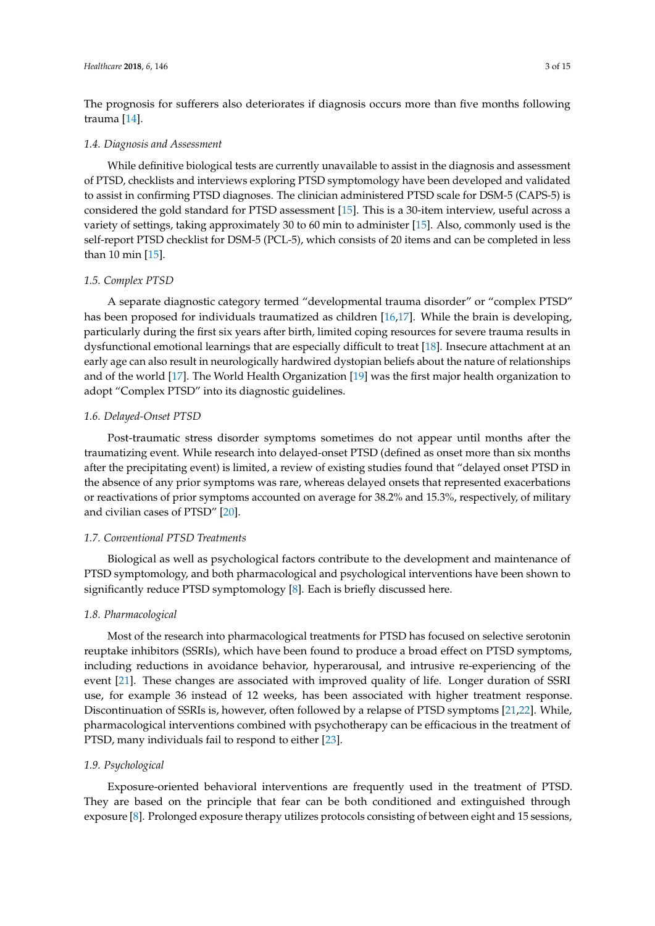The prognosis for sufferers also deteriorates if diagnosis occurs more than five months following trauma [\[14\]](#page-11-11).

#### *1.4. Diagnosis and Assessment*

While definitive biological tests are currently unavailable to assist in the diagnosis and assessment of PTSD, checklists and interviews exploring PTSD symptomology have been developed and validated to assist in confirming PTSD diagnoses. The clinician administered PTSD scale for DSM-5 (CAPS-5) is considered the gold standard for PTSD assessment [\[15\]](#page-11-12). This is a 30-item interview, useful across a variety of settings, taking approximately 30 to 60 min to administer [\[15\]](#page-11-12). Also, commonly used is the self-report PTSD checklist for DSM-5 (PCL-5), which consists of 20 items and can be completed in less than 10 min [\[15\]](#page-11-12).

## *1.5. Complex PTSD*

A separate diagnostic category termed "developmental trauma disorder" or "complex PTSD" has been proposed for individuals traumatized as children [\[16](#page-11-13)[,17\]](#page-11-14). While the brain is developing, particularly during the first six years after birth, limited coping resources for severe trauma results in dysfunctional emotional learnings that are especially difficult to treat [\[18\]](#page-11-15). Insecure attachment at an early age can also result in neurologically hardwired dystopian beliefs about the nature of relationships and of the world [\[17\]](#page-11-14). The World Health Organization [\[19\]](#page-11-16) was the first major health organization to adopt "Complex PTSD" into its diagnostic guidelines.

# *1.6. Delayed-Onset PTSD*

Post-traumatic stress disorder symptoms sometimes do not appear until months after the traumatizing event. While research into delayed-onset PTSD (defined as onset more than six months after the precipitating event) is limited, a review of existing studies found that "delayed onset PTSD in the absence of any prior symptoms was rare, whereas delayed onsets that represented exacerbations or reactivations of prior symptoms accounted on average for 38.2% and 15.3%, respectively, of military and civilian cases of PTSD" [\[20\]](#page-11-17).

# *1.7. Conventional PTSD Treatments*

Biological as well as psychological factors contribute to the development and maintenance of PTSD symptomology, and both pharmacological and psychological interventions have been shown to significantly reduce PTSD symptomology [\[8\]](#page-11-5). Each is briefly discussed here.

#### *1.8. Pharmacological*

Most of the research into pharmacological treatments for PTSD has focused on selective serotonin reuptake inhibitors (SSRIs), which have been found to produce a broad effect on PTSD symptoms, including reductions in avoidance behavior, hyperarousal, and intrusive re-experiencing of the event [\[21\]](#page-11-18). These changes are associated with improved quality of life. Longer duration of SSRI use, for example 36 instead of 12 weeks, has been associated with higher treatment response. Discontinuation of SSRIs is, however, often followed by a relapse of PTSD symptoms [\[21](#page-11-18)[,22\]](#page-11-19). While, pharmacological interventions combined with psychotherapy can be efficacious in the treatment of PTSD, many individuals fail to respond to either [\[23\]](#page-11-20).

# *1.9. Psychological*

Exposure-oriented behavioral interventions are frequently used in the treatment of PTSD. They are based on the principle that fear can be both conditioned and extinguished through exposure [\[8\]](#page-11-5). Prolonged exposure therapy utilizes protocols consisting of between eight and 15 sessions,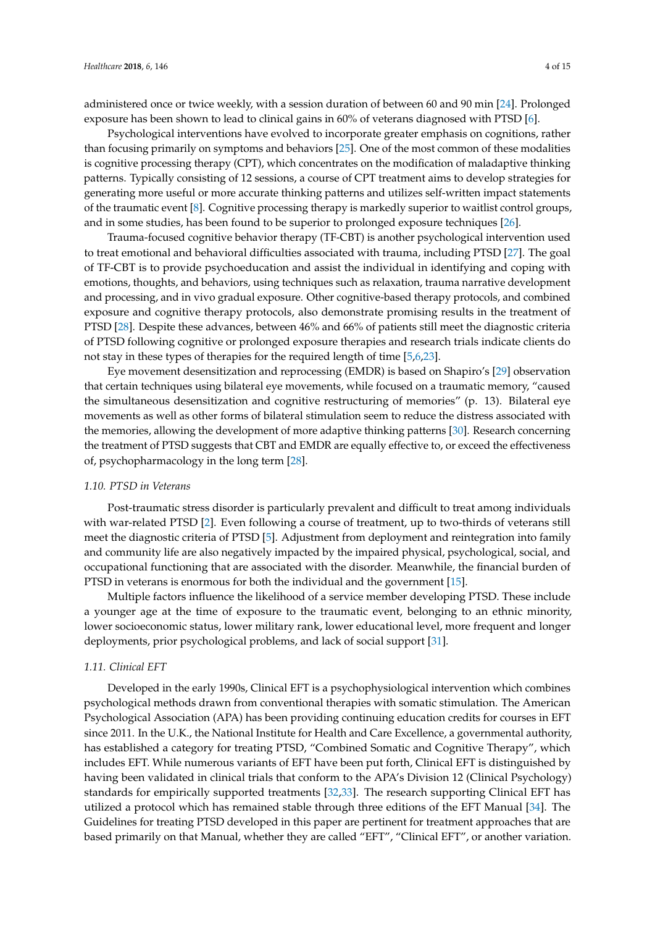administered once or twice weekly, with a session duration of between 60 and 90 min [\[24\]](#page-11-21). Prolonged exposure has been shown to lead to clinical gains in 60% of veterans diagnosed with PTSD [\[6\]](#page-11-3).

Psychological interventions have evolved to incorporate greater emphasis on cognitions, rather than focusing primarily on symptoms and behaviors [\[25\]](#page-11-22). One of the most common of these modalities is cognitive processing therapy (CPT), which concentrates on the modification of maladaptive thinking patterns. Typically consisting of 12 sessions, a course of CPT treatment aims to develop strategies for generating more useful or more accurate thinking patterns and utilizes self-written impact statements of the traumatic event [\[8\]](#page-11-5). Cognitive processing therapy is markedly superior to waitlist control groups, and in some studies, has been found to be superior to prolonged exposure techniques [\[26\]](#page-12-0).

Trauma-focused cognitive behavior therapy (TF-CBT) is another psychological intervention used to treat emotional and behavioral difficulties associated with trauma, including PTSD [\[27\]](#page-12-1). The goal of TF-CBT is to provide psychoeducation and assist the individual in identifying and coping with emotions, thoughts, and behaviors, using techniques such as relaxation, trauma narrative development and processing, and in vivo gradual exposure. Other cognitive-based therapy protocols, and combined exposure and cognitive therapy protocols, also demonstrate promising results in the treatment of PTSD [\[28\]](#page-12-2). Despite these advances, between 46% and 66% of patients still meet the diagnostic criteria of PTSD following cognitive or prolonged exposure therapies and research trials indicate clients do not stay in these types of therapies for the required length of time [\[5,](#page-11-2)[6](#page-11-3)[,23\]](#page-11-20).

Eye movement desensitization and reprocessing (EMDR) is based on Shapiro's [\[29\]](#page-12-3) observation that certain techniques using bilateral eye movements, while focused on a traumatic memory, "caused the simultaneous desensitization and cognitive restructuring of memories" (p. 13). Bilateral eye movements as well as other forms of bilateral stimulation seem to reduce the distress associated with the memories, allowing the development of more adaptive thinking patterns [\[30\]](#page-12-4). Research concerning the treatment of PTSD suggests that CBT and EMDR are equally effective to, or exceed the effectiveness of, psychopharmacology in the long term [\[28\]](#page-12-2).

## *1.10. PTSD in Veterans*

Post-traumatic stress disorder is particularly prevalent and difficult to treat among individuals with war-related PTSD [\[2\]](#page-10-1). Even following a course of treatment, up to two-thirds of veterans still meet the diagnostic criteria of PTSD [\[5\]](#page-11-2). Adjustment from deployment and reintegration into family and community life are also negatively impacted by the impaired physical, psychological, social, and occupational functioning that are associated with the disorder. Meanwhile, the financial burden of PTSD in veterans is enormous for both the individual and the government [\[15\]](#page-11-12).

Multiple factors influence the likelihood of a service member developing PTSD. These include a younger age at the time of exposure to the traumatic event, belonging to an ethnic minority, lower socioeconomic status, lower military rank, lower educational level, more frequent and longer deployments, prior psychological problems, and lack of social support [\[31\]](#page-12-5).

#### *1.11. Clinical EFT*

Developed in the early 1990s, Clinical EFT is a psychophysiological intervention which combines psychological methods drawn from conventional therapies with somatic stimulation. The American Psychological Association (APA) has been providing continuing education credits for courses in EFT since 2011. In the U.K., the National Institute for Health and Care Excellence, a governmental authority, has established a category for treating PTSD, "Combined Somatic and Cognitive Therapy", which includes EFT. While numerous variants of EFT have been put forth, Clinical EFT is distinguished by having been validated in clinical trials that conform to the APA's Division 12 (Clinical Psychology) standards for empirically supported treatments [\[32](#page-12-6)[,33\]](#page-12-7). The research supporting Clinical EFT has utilized a protocol which has remained stable through three editions of the EFT Manual [\[34\]](#page-12-8). The Guidelines for treating PTSD developed in this paper are pertinent for treatment approaches that are based primarily on that Manual, whether they are called "EFT", "Clinical EFT", or another variation.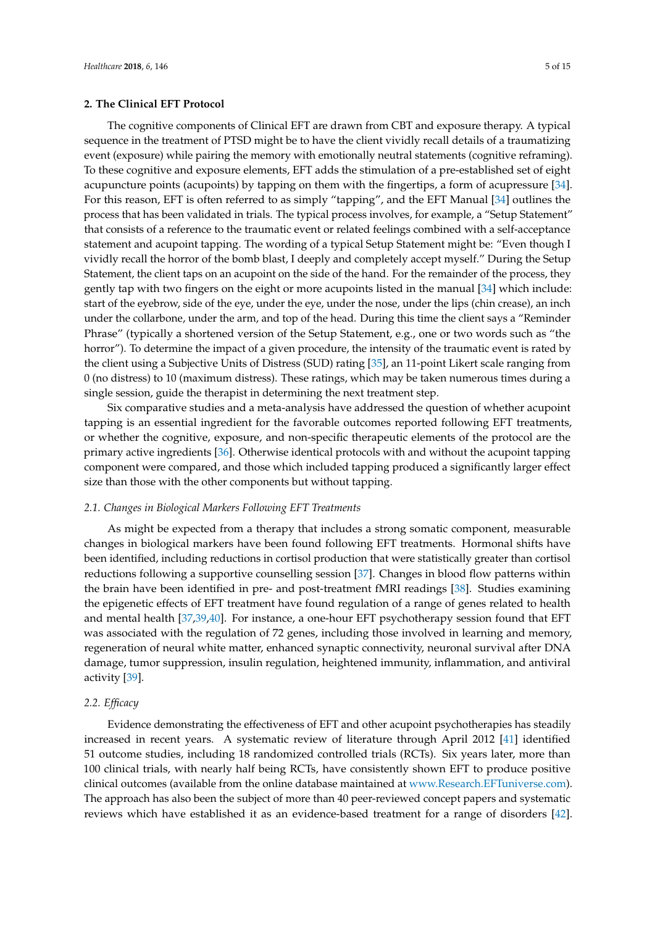# **2. The Clinical EFT Protocol**

The cognitive components of Clinical EFT are drawn from CBT and exposure therapy. A typical sequence in the treatment of PTSD might be to have the client vividly recall details of a traumatizing event (exposure) while pairing the memory with emotionally neutral statements (cognitive reframing). To these cognitive and exposure elements, EFT adds the stimulation of a pre-established set of eight acupuncture points (acupoints) by tapping on them with the fingertips, a form of acupressure [\[34\]](#page-12-8). For this reason, EFT is often referred to as simply "tapping", and the EFT Manual [\[34\]](#page-12-8) outlines the process that has been validated in trials. The typical process involves, for example, a "Setup Statement" that consists of a reference to the traumatic event or related feelings combined with a self-acceptance statement and acupoint tapping. The wording of a typical Setup Statement might be: "Even though I vividly recall the horror of the bomb blast, I deeply and completely accept myself." During the Setup

Statement, the client taps on an acupoint on the side of the hand. For the remainder of the process, they gently tap with two fingers on the eight or more acupoints listed in the manual [\[34\]](#page-12-8) which include: start of the eyebrow, side of the eye, under the eye, under the nose, under the lips (chin crease), an inch under the collarbone, under the arm, and top of the head. During this time the client says a "Reminder Phrase" (typically a shortened version of the Setup Statement, e.g., one or two words such as "the horror"). To determine the impact of a given procedure, the intensity of the traumatic event is rated by the client using a Subjective Units of Distress (SUD) rating [\[35\]](#page-12-9), an 11-point Likert scale ranging from 0 (no distress) to 10 (maximum distress). These ratings, which may be taken numerous times during a single session, guide the therapist in determining the next treatment step.

Six comparative studies and a meta-analysis have addressed the question of whether acupoint tapping is an essential ingredient for the favorable outcomes reported following EFT treatments, or whether the cognitive, exposure, and non-specific therapeutic elements of the protocol are the primary active ingredients [\[36\]](#page-12-10). Otherwise identical protocols with and without the acupoint tapping component were compared, and those which included tapping produced a significantly larger effect size than those with the other components but without tapping.

#### *2.1. Changes in Biological Markers Following EFT Treatments*

As might be expected from a therapy that includes a strong somatic component, measurable changes in biological markers have been found following EFT treatments. Hormonal shifts have been identified, including reductions in cortisol production that were statistically greater than cortisol reductions following a supportive counselling session [\[37\]](#page-12-11). Changes in blood flow patterns within the brain have been identified in pre- and post-treatment fMRI readings [\[38\]](#page-12-12). Studies examining the epigenetic effects of EFT treatment have found regulation of a range of genes related to health and mental health [\[37,](#page-12-11)[39,](#page-12-13)[40\]](#page-12-14). For instance, a one-hour EFT psychotherapy session found that EFT was associated with the regulation of 72 genes, including those involved in learning and memory, regeneration of neural white matter, enhanced synaptic connectivity, neuronal survival after DNA damage, tumor suppression, insulin regulation, heightened immunity, inflammation, and antiviral activity [\[39\]](#page-12-13).

# *2.2. Efficacy*

Evidence demonstrating the effectiveness of EFT and other acupoint psychotherapies has steadily increased in recent years. A systematic review of literature through April 2012 [\[41\]](#page-12-15) identified 51 outcome studies, including 18 randomized controlled trials (RCTs). Six years later, more than 100 clinical trials, with nearly half being RCTs, have consistently shown EFT to produce positive clinical outcomes (available from the online database maintained at [www.Research.EFTuniverse.com\)](www.Research.EFTuniverse.com). The approach has also been the subject of more than 40 peer-reviewed concept papers and systematic reviews which have established it as an evidence-based treatment for a range of disorders [\[42\]](#page-12-16).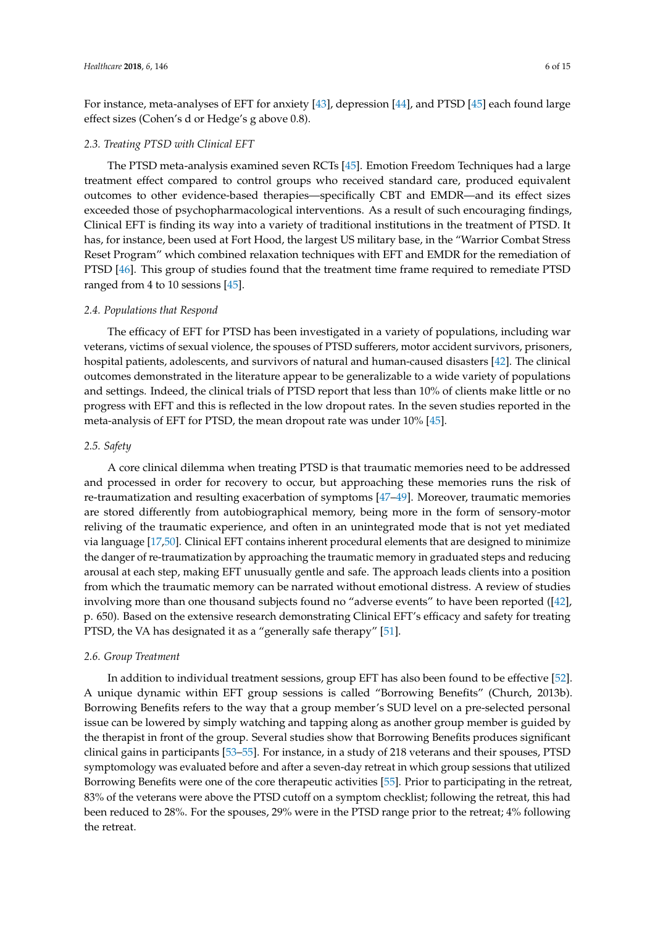For instance, meta-analyses of EFT for anxiety [\[43\]](#page-12-17), depression [\[44\]](#page-12-18), and PTSD [\[45\]](#page-12-19) each found large effect sizes (Cohen's d or Hedge's g above 0.8).

#### *2.3. Treating PTSD with Clinical EFT*

The PTSD meta-analysis examined seven RCTs [\[45\]](#page-12-19). Emotion Freedom Techniques had a large treatment effect compared to control groups who received standard care, produced equivalent outcomes to other evidence-based therapies—specifically CBT and EMDR—and its effect sizes exceeded those of psychopharmacological interventions. As a result of such encouraging findings, Clinical EFT is finding its way into a variety of traditional institutions in the treatment of PTSD. It has, for instance, been used at Fort Hood, the largest US military base, in the "Warrior Combat Stress Reset Program" which combined relaxation techniques with EFT and EMDR for the remediation of PTSD [\[46\]](#page-12-20). This group of studies found that the treatment time frame required to remediate PTSD ranged from 4 to 10 sessions [\[45\]](#page-12-19).

# *2.4. Populations that Respond*

The efficacy of EFT for PTSD has been investigated in a variety of populations, including war veterans, victims of sexual violence, the spouses of PTSD sufferers, motor accident survivors, prisoners, hospital patients, adolescents, and survivors of natural and human-caused disasters [\[42\]](#page-12-16). The clinical outcomes demonstrated in the literature appear to be generalizable to a wide variety of populations and settings. Indeed, the clinical trials of PTSD report that less than 10% of clients make little or no progress with EFT and this is reflected in the low dropout rates. In the seven studies reported in the meta-analysis of EFT for PTSD, the mean dropout rate was under 10% [\[45\]](#page-12-19).

## *2.5. Safety*

A core clinical dilemma when treating PTSD is that traumatic memories need to be addressed and processed in order for recovery to occur, but approaching these memories runs the risk of re-traumatization and resulting exacerbation of symptoms [\[47](#page-12-21)[–49\]](#page-12-22). Moreover, traumatic memories are stored differently from autobiographical memory, being more in the form of sensory-motor reliving of the traumatic experience, and often in an unintegrated mode that is not yet mediated via language [\[17](#page-11-14)[,50\]](#page-13-0). Clinical EFT contains inherent procedural elements that are designed to minimize the danger of re-traumatization by approaching the traumatic memory in graduated steps and reducing arousal at each step, making EFT unusually gentle and safe. The approach leads clients into a position from which the traumatic memory can be narrated without emotional distress. A review of studies involving more than one thousand subjects found no "adverse events" to have been reported ([\[42\]](#page-12-16), p. 650). Based on the extensive research demonstrating Clinical EFT's efficacy and safety for treating PTSD, the VA has designated it as a "generally safe therapy" [\[51\]](#page-13-1).

## *2.6. Group Treatment*

In addition to individual treatment sessions, group EFT has also been found to be effective [\[52\]](#page-13-2). A unique dynamic within EFT group sessions is called "Borrowing Benefits" (Church, 2013b). Borrowing Benefits refers to the way that a group member's SUD level on a pre-selected personal issue can be lowered by simply watching and tapping along as another group member is guided by the therapist in front of the group. Several studies show that Borrowing Benefits produces significant clinical gains in participants [\[53](#page-13-3)[–55\]](#page-13-4). For instance, in a study of 218 veterans and their spouses, PTSD symptomology was evaluated before and after a seven-day retreat in which group sessions that utilized Borrowing Benefits were one of the core therapeutic activities [\[55\]](#page-13-4). Prior to participating in the retreat, 83% of the veterans were above the PTSD cutoff on a symptom checklist; following the retreat, this had been reduced to 28%. For the spouses, 29% were in the PTSD range prior to the retreat; 4% following the retreat.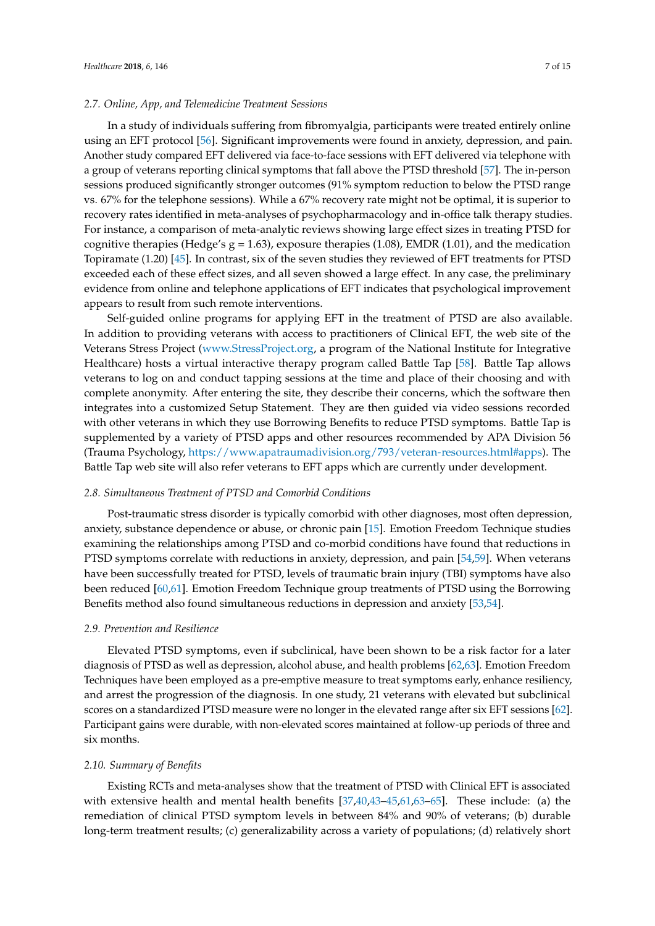## *2.7. Online, App, and Telemedicine Treatment Sessions*

In a study of individuals suffering from fibromyalgia, participants were treated entirely online using an EFT protocol [\[56\]](#page-13-5). Significant improvements were found in anxiety, depression, and pain. Another study compared EFT delivered via face-to-face sessions with EFT delivered via telephone with a group of veterans reporting clinical symptoms that fall above the PTSD threshold [\[57\]](#page-13-6). The in-person sessions produced significantly stronger outcomes (91% symptom reduction to below the PTSD range vs. 67% for the telephone sessions). While a 67% recovery rate might not be optimal, it is superior to recovery rates identified in meta-analyses of psychopharmacology and in-office talk therapy studies. For instance, a comparison of meta-analytic reviews showing large effect sizes in treating PTSD for cognitive therapies (Hedge's  $g = 1.63$ ), exposure therapies (1.08), EMDR (1.01), and the medication Topiramate (1.20) [\[45\]](#page-12-19). In contrast, six of the seven studies they reviewed of EFT treatments for PTSD exceeded each of these effect sizes, and all seven showed a large effect. In any case, the preliminary evidence from online and telephone applications of EFT indicates that psychological improvement appears to result from such remote interventions.

Self-guided online programs for applying EFT in the treatment of PTSD are also available. In addition to providing veterans with access to practitioners of Clinical EFT, the web site of the Veterans Stress Project [\(www.StressProject.org,](www.StressProject.org) a program of the National Institute for Integrative Healthcare) hosts a virtual interactive therapy program called Battle Tap [\[58\]](#page-13-7). Battle Tap allows veterans to log on and conduct tapping sessions at the time and place of their choosing and with complete anonymity. After entering the site, they describe their concerns, which the software then integrates into a customized Setup Statement. They are then guided via video sessions recorded with other veterans in which they use Borrowing Benefits to reduce PTSD symptoms. Battle Tap is supplemented by a variety of PTSD apps and other resources recommended by APA Division 56 (Trauma Psychology, [https://www.apatraumadivision.org/793/veteran-resources.html#apps\)](https://www.apatraumadivision.org/793/veteran-resources.html#apps). The Battle Tap web site will also refer veterans to EFT apps which are currently under development.

#### *2.8. Simultaneous Treatment of PTSD and Comorbid Conditions*

Post-traumatic stress disorder is typically comorbid with other diagnoses, most often depression, anxiety, substance dependence or abuse, or chronic pain [\[15\]](#page-11-12). Emotion Freedom Technique studies examining the relationships among PTSD and co-morbid conditions have found that reductions in PTSD symptoms correlate with reductions in anxiety, depression, and pain [\[54,](#page-13-8)[59\]](#page-13-9). When veterans have been successfully treated for PTSD, levels of traumatic brain injury (TBI) symptoms have also been reduced [\[60](#page-13-10)[,61\]](#page-13-11). Emotion Freedom Technique group treatments of PTSD using the Borrowing Benefits method also found simultaneous reductions in depression and anxiety [\[53](#page-13-3)[,54\]](#page-13-8).

#### *2.9. Prevention and Resilience*

Elevated PTSD symptoms, even if subclinical, have been shown to be a risk factor for a later diagnosis of PTSD as well as depression, alcohol abuse, and health problems [\[62](#page-13-12)[,63\]](#page-13-13). Emotion Freedom Techniques have been employed as a pre-emptive measure to treat symptoms early, enhance resiliency, and arrest the progression of the diagnosis. In one study, 21 veterans with elevated but subclinical scores on a standardized PTSD measure were no longer in the elevated range after six EFT sessions [\[62\]](#page-13-12). Participant gains were durable, with non-elevated scores maintained at follow-up periods of three and six months.

## *2.10. Summary of Benefits*

Existing RCTs and meta-analyses show that the treatment of PTSD with Clinical EFT is associated with extensive health and mental health benefits [\[37,](#page-12-11)[40,](#page-12-14)[43](#page-12-17)-45[,61](#page-13-11)[,63](#page-13-13)-65]. These include: (a) the remediation of clinical PTSD symptom levels in between 84% and 90% of veterans; (b) durable long-term treatment results; (c) generalizability across a variety of populations; (d) relatively short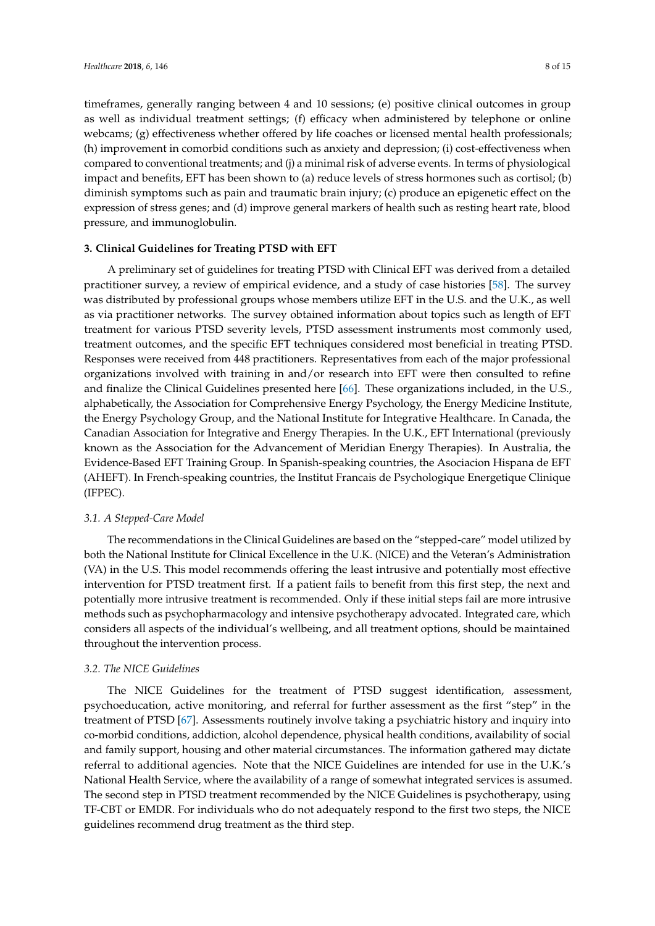timeframes, generally ranging between 4 and 10 sessions; (e) positive clinical outcomes in group as well as individual treatment settings; (f) efficacy when administered by telephone or online webcams; (g) effectiveness whether offered by life coaches or licensed mental health professionals; (h) improvement in comorbid conditions such as anxiety and depression; (i) cost-effectiveness when compared to conventional treatments; and (j) a minimal risk of adverse events. In terms of physiological impact and benefits, EFT has been shown to (a) reduce levels of stress hormones such as cortisol; (b) diminish symptoms such as pain and traumatic brain injury; (c) produce an epigenetic effect on the expression of stress genes; and (d) improve general markers of health such as resting heart rate, blood pressure, and immunoglobulin.

# **3. Clinical Guidelines for Treating PTSD with EFT**

A preliminary set of guidelines for treating PTSD with Clinical EFT was derived from a detailed practitioner survey, a review of empirical evidence, and a study of case histories [\[58\]](#page-13-7). The survey was distributed by professional groups whose members utilize EFT in the U.S. and the U.K., as well as via practitioner networks. The survey obtained information about topics such as length of EFT treatment for various PTSD severity levels, PTSD assessment instruments most commonly used, treatment outcomes, and the specific EFT techniques considered most beneficial in treating PTSD. Responses were received from 448 practitioners. Representatives from each of the major professional organizations involved with training in and/or research into EFT were then consulted to refine and finalize the Clinical Guidelines presented here [\[66\]](#page-13-15). These organizations included, in the U.S., alphabetically, the Association for Comprehensive Energy Psychology, the Energy Medicine Institute, the Energy Psychology Group, and the National Institute for Integrative Healthcare. In Canada, the Canadian Association for Integrative and Energy Therapies. In the U.K., EFT International (previously known as the Association for the Advancement of Meridian Energy Therapies). In Australia, the Evidence-Based EFT Training Group. In Spanish-speaking countries, the Asociacion Hispana de EFT (AHEFT). In French-speaking countries, the Institut Francais de Psychologique Energetique Clinique (IFPEC).

# *3.1. A Stepped-Care Model*

The recommendations in the Clinical Guidelines are based on the "stepped-care" model utilized by both the National Institute for Clinical Excellence in the U.K. (NICE) and the Veteran's Administration (VA) in the U.S. This model recommends offering the least intrusive and potentially most effective intervention for PTSD treatment first. If a patient fails to benefit from this first step, the next and potentially more intrusive treatment is recommended. Only if these initial steps fail are more intrusive methods such as psychopharmacology and intensive psychotherapy advocated. Integrated care, which considers all aspects of the individual's wellbeing, and all treatment options, should be maintained throughout the intervention process.

#### *3.2. The NICE Guidelines*

The NICE Guidelines for the treatment of PTSD suggest identification, assessment, psychoeducation, active monitoring, and referral for further assessment as the first "step" in the treatment of PTSD [\[67\]](#page-13-16). Assessments routinely involve taking a psychiatric history and inquiry into co-morbid conditions, addiction, alcohol dependence, physical health conditions, availability of social and family support, housing and other material circumstances. The information gathered may dictate referral to additional agencies. Note that the NICE Guidelines are intended for use in the U.K.'s National Health Service, where the availability of a range of somewhat integrated services is assumed. The second step in PTSD treatment recommended by the NICE Guidelines is psychotherapy, using TF-CBT or EMDR. For individuals who do not adequately respond to the first two steps, the NICE guidelines recommend drug treatment as the third step.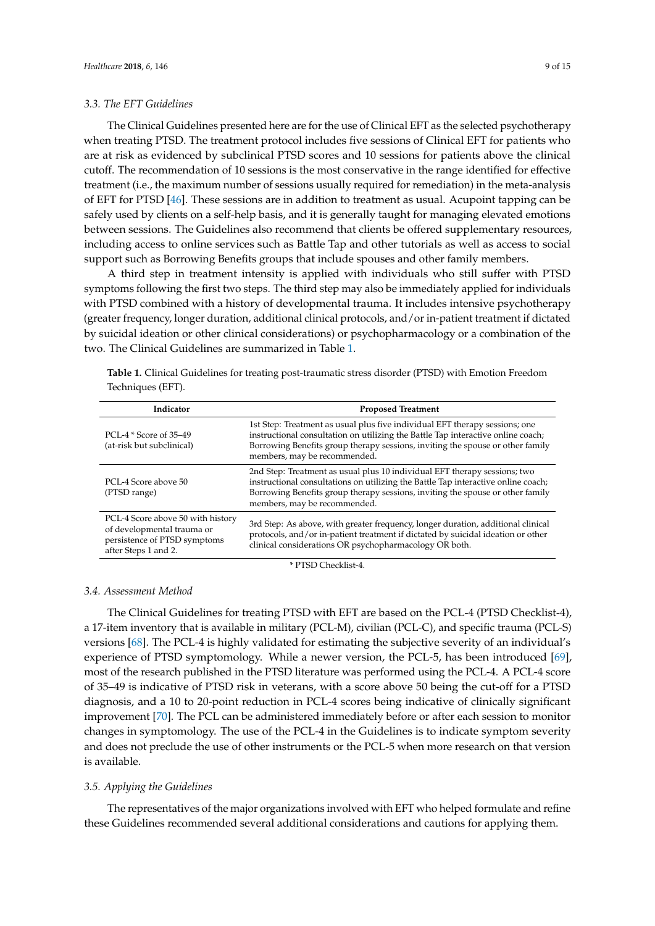## *3.3. The EFT Guidelines*

The Clinical Guidelines presented here are for the use of Clinical EFT as the selected psychotherapy when treating PTSD. The treatment protocol includes five sessions of Clinical EFT for patients who are at risk as evidenced by subclinical PTSD scores and 10 sessions for patients above the clinical cutoff. The recommendation of 10 sessions is the most conservative in the range identified for effective treatment (i.e., the maximum number of sessions usually required for remediation) in the meta-analysis of EFT for PTSD [\[46\]](#page-12-20). These sessions are in addition to treatment as usual. Acupoint tapping can be safely used by clients on a self-help basis, and it is generally taught for managing elevated emotions between sessions. The Guidelines also recommend that clients be offered supplementary resources, including access to online services such as Battle Tap and other tutorials as well as access to social support such as Borrowing Benefits groups that include spouses and other family members.

A third step in treatment intensity is applied with individuals who still suffer with PTSD symptoms following the first two steps. The third step may also be immediately applied for individuals with PTSD combined with a history of developmental trauma. It includes intensive psychotherapy (greater frequency, longer duration, additional clinical protocols, and/or in-patient treatment if dictated by suicidal ideation or other clinical considerations) or psychopharmacology or a combination of the two. The Clinical Guidelines are summarized in Table [1.](#page-8-0)

| Indicator                                                                                                               | <b>Proposed Treatment</b>                                                                                                                                                                                                                                                         |
|-------------------------------------------------------------------------------------------------------------------------|-----------------------------------------------------------------------------------------------------------------------------------------------------------------------------------------------------------------------------------------------------------------------------------|
| PCL-4 * Score of 35–49<br>(at-risk but subclinical)                                                                     | 1st Step: Treatment as usual plus five individual EFT therapy sessions; one<br>instructional consultation on utilizing the Battle Tap interactive online coach;<br>Borrowing Benefits group therapy sessions, inviting the spouse or other family<br>members, may be recommended. |
| PCL-4 Score above 50<br>(PTSD range)                                                                                    | 2nd Step: Treatment as usual plus 10 individual EFT therapy sessions; two<br>instructional consultations on utilizing the Battle Tap interactive online coach;<br>Borrowing Benefits group therapy sessions, inviting the spouse or other family<br>members, may be recommended.  |
| PCL-4 Score above 50 with history<br>of developmental trauma or<br>persistence of PTSD symptoms<br>after Steps 1 and 2. | 3rd Step: As above, with greater frequency, longer duration, additional clinical<br>protocols, and/or in-patient treatment if dictated by suicidal ideation or other<br>clinical considerations OR psychopharmacology OR both.                                                    |

<span id="page-8-0"></span>**Table 1.** Clinical Guidelines for treating post-traumatic stress disorder (PTSD) with Emotion Freedom Techniques (EFT).

\* PTSD Checklist-4.

#### *3.4. Assessment Method*

The Clinical Guidelines for treating PTSD with EFT are based on the PCL-4 (PTSD Checklist-4), a 17-item inventory that is available in military (PCL-M), civilian (PCL-C), and specific trauma (PCL-S) versions [\[68\]](#page-13-17). The PCL-4 is highly validated for estimating the subjective severity of an individual's experience of PTSD symptomology. While a newer version, the PCL-5, has been introduced [\[69\]](#page-13-18), most of the research published in the PTSD literature was performed using the PCL-4. A PCL-4 score of 35–49 is indicative of PTSD risk in veterans, with a score above 50 being the cut-off for a PTSD diagnosis, and a 10 to 20-point reduction in PCL-4 scores being indicative of clinically significant improvement [\[70\]](#page-13-19). The PCL can be administered immediately before or after each session to monitor changes in symptomology. The use of the PCL-4 in the Guidelines is to indicate symptom severity and does not preclude the use of other instruments or the PCL-5 when more research on that version is available.

# *3.5. Applying the Guidelines*

The representatives of the major organizations involved with EFT who helped formulate and refine these Guidelines recommended several additional considerations and cautions for applying them.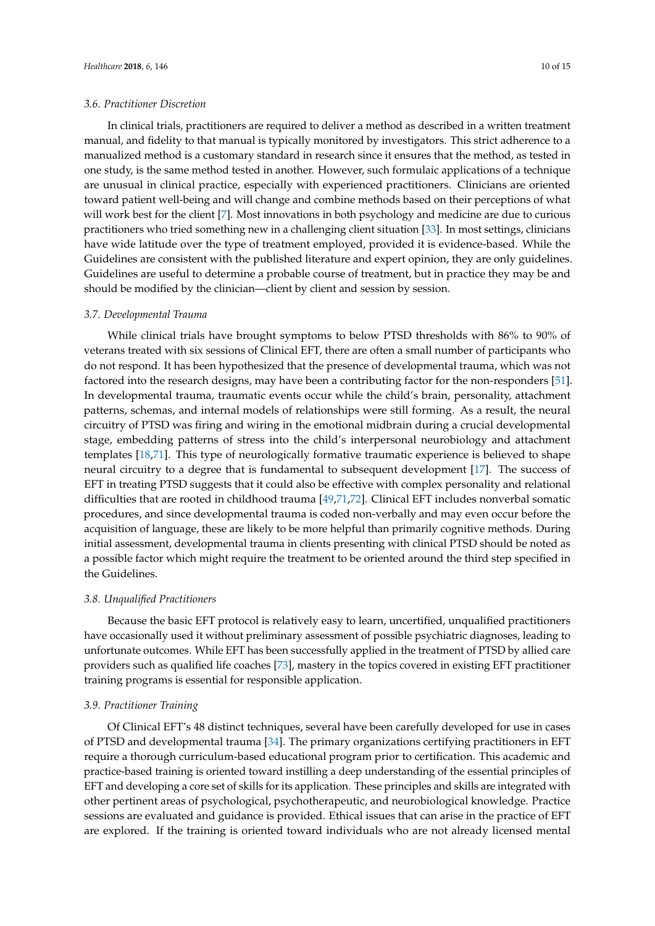#### *3.6. Practitioner Discretion*

In clinical trials, practitioners are required to deliver a method as described in a written treatment manual, and fidelity to that manual is typically monitored by investigators. This strict adherence to a manualized method is a customary standard in research since it ensures that the method, as tested in one study, is the same method tested in another. However, such formulaic applications of a technique are unusual in clinical practice, especially with experienced practitioners. Clinicians are oriented toward patient well-being and will change and combine methods based on their perceptions of what will work best for the client [\[7\]](#page-11-4). Most innovations in both psychology and medicine are due to curious practitioners who tried something new in a challenging client situation [\[33\]](#page-12-7). In most settings, clinicians have wide latitude over the type of treatment employed, provided it is evidence-based. While the Guidelines are consistent with the published literature and expert opinion, they are only guidelines. Guidelines are useful to determine a probable course of treatment, but in practice they may be and should be modified by the clinician—client by client and session by session.

#### *3.7. Developmental Trauma*

While clinical trials have brought symptoms to below PTSD thresholds with 86% to 90% of veterans treated with six sessions of Clinical EFT, there are often a small number of participants who do not respond. It has been hypothesized that the presence of developmental trauma, which was not factored into the research designs, may have been a contributing factor for the non-responders [\[51\]](#page-13-1). In developmental trauma, traumatic events occur while the child's brain, personality, attachment patterns, schemas, and internal models of relationships were still forming. As a result, the neural circuitry of PTSD was firing and wiring in the emotional midbrain during a crucial developmental stage, embedding patterns of stress into the child's interpersonal neurobiology and attachment templates [\[18,](#page-11-15)[71\]](#page-14-0). This type of neurologically formative traumatic experience is believed to shape neural circuitry to a degree that is fundamental to subsequent development [\[17\]](#page-11-14). The success of EFT in treating PTSD suggests that it could also be effective with complex personality and relational difficulties that are rooted in childhood trauma [\[49](#page-12-22)[,71](#page-14-0)[,72\]](#page-14-1). Clinical EFT includes nonverbal somatic procedures, and since developmental trauma is coded non-verbally and may even occur before the acquisition of language, these are likely to be more helpful than primarily cognitive methods. During initial assessment, developmental trauma in clients presenting with clinical PTSD should be noted as a possible factor which might require the treatment to be oriented around the third step specified in the Guidelines.

# *3.8. Unqualified Practitioners*

Because the basic EFT protocol is relatively easy to learn, uncertified, unqualified practitioners have occasionally used it without preliminary assessment of possible psychiatric diagnoses, leading to unfortunate outcomes. While EFT has been successfully applied in the treatment of PTSD by allied care providers such as qualified life coaches [\[73\]](#page-14-2), mastery in the topics covered in existing EFT practitioner training programs is essential for responsible application.

### *3.9. Practitioner Training*

Of Clinical EFT's 48 distinct techniques, several have been carefully developed for use in cases of PTSD and developmental trauma [\[34\]](#page-12-8). The primary organizations certifying practitioners in EFT require a thorough curriculum-based educational program prior to certification. This academic and practice-based training is oriented toward instilling a deep understanding of the essential principles of EFT and developing a core set of skills for its application. These principles and skills are integrated with other pertinent areas of psychological, psychotherapeutic, and neurobiological knowledge. Practice sessions are evaluated and guidance is provided. Ethical issues that can arise in the practice of EFT are explored. If the training is oriented toward individuals who are not already licensed mental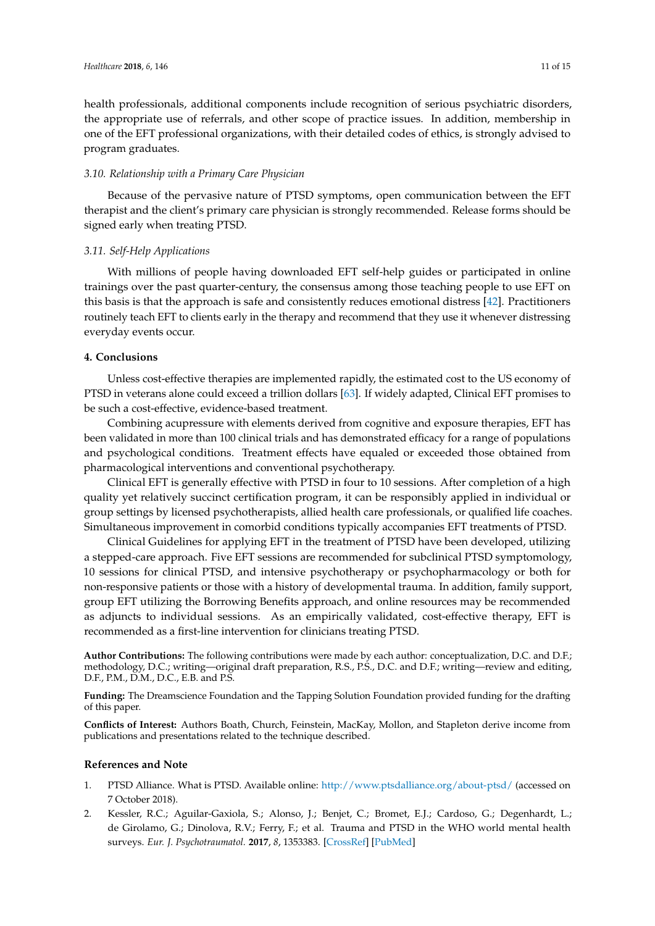health professionals, additional components include recognition of serious psychiatric disorders, the appropriate use of referrals, and other scope of practice issues. In addition, membership in one of the EFT professional organizations, with their detailed codes of ethics, is strongly advised to program graduates.

# *3.10. Relationship with a Primary Care Physician*

Because of the pervasive nature of PTSD symptoms, open communication between the EFT therapist and the client's primary care physician is strongly recommended. Release forms should be signed early when treating PTSD.

## *3.11. Self-Help Applications*

With millions of people having downloaded EFT self-help guides or participated in online trainings over the past quarter-century, the consensus among those teaching people to use EFT on this basis is that the approach is safe and consistently reduces emotional distress [\[42\]](#page-12-16). Practitioners routinely teach EFT to clients early in the therapy and recommend that they use it whenever distressing everyday events occur.

# **4. Conclusions**

Unless cost-effective therapies are implemented rapidly, the estimated cost to the US economy of PTSD in veterans alone could exceed a trillion dollars [\[63\]](#page-13-13). If widely adapted, Clinical EFT promises to be such a cost-effective, evidence-based treatment.

Combining acupressure with elements derived from cognitive and exposure therapies, EFT has been validated in more than 100 clinical trials and has demonstrated efficacy for a range of populations and psychological conditions. Treatment effects have equaled or exceeded those obtained from pharmacological interventions and conventional psychotherapy.

Clinical EFT is generally effective with PTSD in four to 10 sessions. After completion of a high quality yet relatively succinct certification program, it can be responsibly applied in individual or group settings by licensed psychotherapists, allied health care professionals, or qualified life coaches. Simultaneous improvement in comorbid conditions typically accompanies EFT treatments of PTSD.

Clinical Guidelines for applying EFT in the treatment of PTSD have been developed, utilizing a stepped-care approach. Five EFT sessions are recommended for subclinical PTSD symptomology, 10 sessions for clinical PTSD, and intensive psychotherapy or psychopharmacology or both for non-responsive patients or those with a history of developmental trauma. In addition, family support, group EFT utilizing the Borrowing Benefits approach, and online resources may be recommended as adjuncts to individual sessions. As an empirically validated, cost-effective therapy, EFT is recommended as a first-line intervention for clinicians treating PTSD.

**Author Contributions:** The following contributions were made by each author: conceptualization, D.C. and D.F.; methodology, D.C.; writing—original draft preparation, R.S., P.S., D.C. and D.F.; writing—review and editing, D.F., P.M., D.M., D.C., E.B. and P.S.

**Funding:** The Dreamscience Foundation and the Tapping Solution Foundation provided funding for the drafting of this paper.

**Conflicts of Interest:** Authors Boath, Church, Feinstein, MacKay, Mollon, and Stapleton derive income from publications and presentations related to the technique described.

## **References and Note**

- <span id="page-10-0"></span>1. PTSD Alliance. What is PTSD. Available online: <http://www.ptsdalliance.org/about-ptsd/> (accessed on 7 October 2018).
- <span id="page-10-1"></span>2. Kessler, R.C.; Aguilar-Gaxiola, S.; Alonso, J.; Benjet, C.; Bromet, E.J.; Cardoso, G.; Degenhardt, L.; de Girolamo, G.; Dinolova, R.V.; Ferry, F.; et al. Trauma and PTSD in the WHO world mental health surveys. *Eur. J. Psychotraumatol.* **2017**, *8*, 1353383. [\[CrossRef\]](http://dx.doi.org/10.1080/20008198.2017.1353383) [\[PubMed\]](http://www.ncbi.nlm.nih.gov/pubmed/29075426)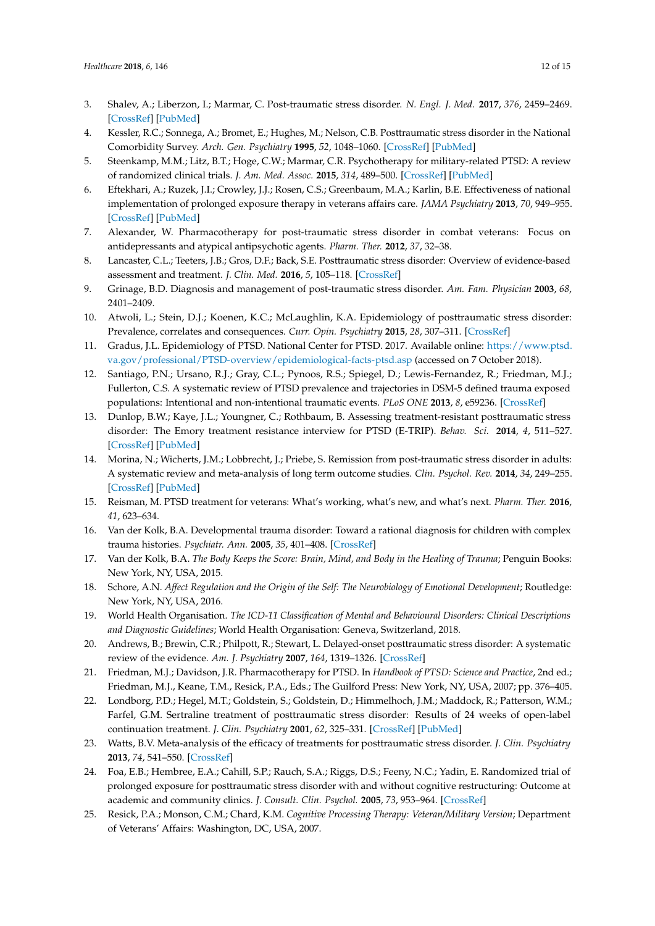- <span id="page-11-0"></span>3. Shalev, A.; Liberzon, I.; Marmar, C. Post-traumatic stress disorder. *N. Engl. J. Med.* **2017**, *376*, 2459–2469. [\[CrossRef\]](http://dx.doi.org/10.1056/NEJMra1612499) [\[PubMed\]](http://www.ncbi.nlm.nih.gov/pubmed/28636846)
- <span id="page-11-1"></span>4. Kessler, R.C.; Sonnega, A.; Bromet, E.; Hughes, M.; Nelson, C.B. Posttraumatic stress disorder in the National Comorbidity Survey. *Arch. Gen. Psychiatry* **1995**, *52*, 1048–1060. [\[CrossRef\]](http://dx.doi.org/10.1001/archpsyc.1995.03950240066012) [\[PubMed\]](http://www.ncbi.nlm.nih.gov/pubmed/7492257)
- <span id="page-11-2"></span>5. Steenkamp, M.M.; Litz, B.T.; Hoge, C.W.; Marmar, C.R. Psychotherapy for military-related PTSD: A review of randomized clinical trials. *J. Am. Med. Assoc.* **2015**, *314*, 489–500. [\[CrossRef\]](http://dx.doi.org/10.1001/jama.2015.8370) [\[PubMed\]](http://www.ncbi.nlm.nih.gov/pubmed/26241600)
- <span id="page-11-3"></span>6. Eftekhari, A.; Ruzek, J.I.; Crowley, J.J.; Rosen, C.S.; Greenbaum, M.A.; Karlin, B.E. Effectiveness of national implementation of prolonged exposure therapy in veterans affairs care. *JAMA Psychiatry* **2013**, *70*, 949–955. [\[CrossRef\]](http://dx.doi.org/10.1001/jamapsychiatry.2013.36) [\[PubMed\]](http://www.ncbi.nlm.nih.gov/pubmed/23863892)
- <span id="page-11-4"></span>7. Alexander, W. Pharmacotherapy for post-traumatic stress disorder in combat veterans: Focus on antidepressants and atypical antipsychotic agents. *Pharm. Ther.* **2012**, *37*, 32–38.
- <span id="page-11-5"></span>8. Lancaster, C.L.; Teeters, J.B.; Gros, D.F.; Back, S.E. Posttraumatic stress disorder: Overview of evidence-based assessment and treatment. *J. Clin. Med.* **2016**, *5*, 105–118. [\[CrossRef\]](http://dx.doi.org/10.3390/jcm5110105)
- <span id="page-11-6"></span>9. Grinage, B.D. Diagnosis and management of post-traumatic stress disorder. *Am. Fam. Physician* **2003**, *68*, 2401–2409.
- <span id="page-11-7"></span>10. Atwoli, L.; Stein, D.J.; Koenen, K.C.; McLaughlin, K.A. Epidemiology of posttraumatic stress disorder: Prevalence, correlates and consequences. *Curr. Opin. Psychiatry* **2015**, *28*, 307–311. [\[CrossRef\]](http://dx.doi.org/10.1097/YCO.0000000000000167)
- <span id="page-11-8"></span>11. Gradus, J.L. Epidemiology of PTSD. National Center for PTSD. 2017. Available online: [https://www.ptsd.](https://www.ptsd.va.gov/professional/PTSD-overview/epidemiological-facts-ptsd.asp) [va.gov/professional/PTSD-overview/epidemiological-facts-ptsd.asp](https://www.ptsd.va.gov/professional/PTSD-overview/epidemiological-facts-ptsd.asp) (accessed on 7 October 2018).
- <span id="page-11-9"></span>12. Santiago, P.N.; Ursano, R.J.; Gray, C.L.; Pynoos, R.S.; Spiegel, D.; Lewis-Fernandez, R.; Friedman, M.J.; Fullerton, C.S. A systematic review of PTSD prevalence and trajectories in DSM-5 defined trauma exposed populations: Intentional and non-intentional traumatic events. *PLoS ONE* **2013**, *8*, e59236. [\[CrossRef\]](http://dx.doi.org/10.1371/journal.pone.0059236)
- <span id="page-11-10"></span>13. Dunlop, B.W.; Kaye, J.L.; Youngner, C.; Rothbaum, B. Assessing treatment-resistant posttraumatic stress disorder: The Emory treatment resistance interview for PTSD (E-TRIP). *Behav. Sci.* **2014**, *4*, 511–527. [\[CrossRef\]](http://dx.doi.org/10.3390/bs4040511) [\[PubMed\]](http://www.ncbi.nlm.nih.gov/pubmed/25494488)
- <span id="page-11-11"></span>14. Morina, N.; Wicherts, J.M.; Lobbrecht, J.; Priebe, S. Remission from post-traumatic stress disorder in adults: A systematic review and meta-analysis of long term outcome studies. *Clin. Psychol. Rev.* **2014**, *34*, 249–255. [\[CrossRef\]](http://dx.doi.org/10.1016/j.cpr.2014.03.002) [\[PubMed\]](http://www.ncbi.nlm.nih.gov/pubmed/24681171)
- <span id="page-11-12"></span>15. Reisman, M. PTSD treatment for veterans: What's working, what's new, and what's next. *Pharm. Ther.* **2016**, *41*, 623–634.
- <span id="page-11-13"></span>16. Van der Kolk, B.A. Developmental trauma disorder: Toward a rational diagnosis for children with complex trauma histories. *Psychiatr. Ann.* **2005**, *35*, 401–408. [\[CrossRef\]](http://dx.doi.org/10.3928/00485713-20050501-06)
- <span id="page-11-14"></span>17. Van der Kolk, B.A. *The Body Keeps the Score: Brain, Mind, and Body in the Healing of Trauma*; Penguin Books: New York, NY, USA, 2015.
- <span id="page-11-15"></span>18. Schore, A.N. *Affect Regulation and the Origin of the Self: The Neurobiology of Emotional Development*; Routledge: New York, NY, USA, 2016.
- <span id="page-11-16"></span>19. World Health Organisation. *The ICD-11 Classification of Mental and Behavioural Disorders: Clinical Descriptions and Diagnostic Guidelines*; World Health Organisation: Geneva, Switzerland, 2018.
- <span id="page-11-17"></span>20. Andrews, B.; Brewin, C.R.; Philpott, R.; Stewart, L. Delayed-onset posttraumatic stress disorder: A systematic review of the evidence. *Am. J. Psychiatry* **2007**, *164*, 1319–1326. [\[CrossRef\]](http://dx.doi.org/10.1176/appi.ajp.2007.06091491)
- <span id="page-11-18"></span>21. Friedman, M.J.; Davidson, J.R. Pharmacotherapy for PTSD. In *Handbook of PTSD: Science and Practice*, 2nd ed.; Friedman, M.J., Keane, T.M., Resick, P.A., Eds.; The Guilford Press: New York, NY, USA, 2007; pp. 376–405.
- <span id="page-11-19"></span>22. Londborg, P.D.; Hegel, M.T.; Goldstein, S.; Goldstein, D.; Himmelhoch, J.M.; Maddock, R.; Patterson, W.M.; Farfel, G.M. Sertraline treatment of posttraumatic stress disorder: Results of 24 weeks of open-label continuation treatment. *J. Clin. Psychiatry* **2001**, *62*, 325–331. [\[CrossRef\]](http://dx.doi.org/10.4088/JCP.v62n0503) [\[PubMed\]](http://www.ncbi.nlm.nih.gov/pubmed/11411812)
- <span id="page-11-20"></span>23. Watts, B.V. Meta-analysis of the efficacy of treatments for posttraumatic stress disorder. *J. Clin. Psychiatry* **2013**, *74*, 541–550. [\[CrossRef\]](http://dx.doi.org/10.4088/JCP.12r08225)
- <span id="page-11-21"></span>24. Foa, E.B.; Hembree, E.A.; Cahill, S.P.; Rauch, S.A.; Riggs, D.S.; Feeny, N.C.; Yadin, E. Randomized trial of prolonged exposure for posttraumatic stress disorder with and without cognitive restructuring: Outcome at academic and community clinics. *J. Consult. Clin. Psychol.* **2005**, *73*, 953–964. [\[CrossRef\]](http://dx.doi.org/10.1037/0022-006X.73.5.953)
- <span id="page-11-22"></span>25. Resick, P.A.; Monson, C.M.; Chard, K.M. *Cognitive Processing Therapy: Veteran/Military Version*; Department of Veterans' Affairs: Washington, DC, USA, 2007.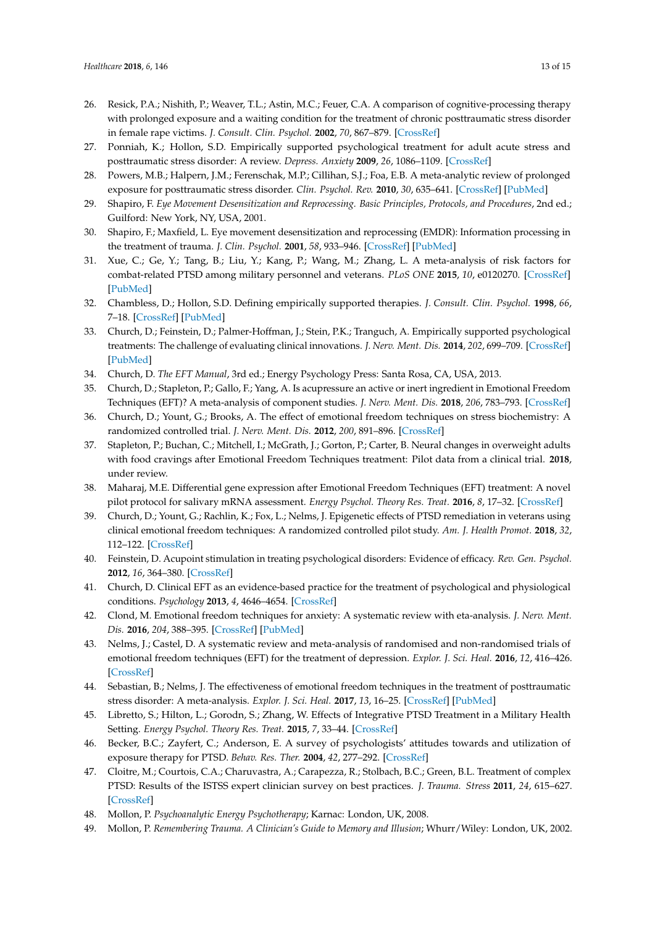- <span id="page-12-0"></span>26. Resick, P.A.; Nishith, P.; Weaver, T.L.; Astin, M.C.; Feuer, C.A. A comparison of cognitive-processing therapy with prolonged exposure and a waiting condition for the treatment of chronic posttraumatic stress disorder in female rape victims. *J. Consult. Clin. Psychol.* **2002**, *70*, 867–879. [\[CrossRef\]](http://dx.doi.org/10.1037/0022-006X.70.4.867)
- <span id="page-12-1"></span>27. Ponniah, K.; Hollon, S.D. Empirically supported psychological treatment for adult acute stress and posttraumatic stress disorder: A review. *Depress. Anxiety* **2009**, *26*, 1086–1109. [\[CrossRef\]](http://dx.doi.org/10.1002/da.20635)
- <span id="page-12-2"></span>28. Powers, M.B.; Halpern, J.M.; Ferenschak, M.P.; Cillihan, S.J.; Foa, E.B. A meta-analytic review of prolonged exposure for posttraumatic stress disorder. *Clin. Psychol. Rev.* **2010**, *30*, 635–641. [\[CrossRef\]](http://dx.doi.org/10.1016/j.cpr.2010.04.007) [\[PubMed\]](http://www.ncbi.nlm.nih.gov/pubmed/20546985)
- <span id="page-12-3"></span>29. Shapiro, F. *Eye Movement Desensitization and Reprocessing. Basic Principles, Protocols, and Procedures*, 2nd ed.; Guilford: New York, NY, USA, 2001.
- <span id="page-12-4"></span>30. Shapiro, F.; Maxfield, L. Eye movement desensitization and reprocessing (EMDR): Information processing in the treatment of trauma. *J. Clin. Psychol.* **2001**, *58*, 933–946. [\[CrossRef\]](http://dx.doi.org/10.1002/jclp.10068) [\[PubMed\]](http://www.ncbi.nlm.nih.gov/pubmed/12115716)
- <span id="page-12-5"></span>31. Xue, C.; Ge, Y.; Tang, B.; Liu, Y.; Kang, P.; Wang, M.; Zhang, L. A meta-analysis of risk factors for combat-related PTSD among military personnel and veterans. *PLoS ONE* **2015**, *10*, e0120270. [\[CrossRef\]](http://dx.doi.org/10.1371/journal.pone.0120270) [\[PubMed\]](http://www.ncbi.nlm.nih.gov/pubmed/25793582)
- <span id="page-12-6"></span>32. Chambless, D.; Hollon, S.D. Defining empirically supported therapies. *J. Consult. Clin. Psychol.* **1998**, *66*, 7–18. [\[CrossRef\]](http://dx.doi.org/10.1037/0022-006X.66.1.7) [\[PubMed\]](http://www.ncbi.nlm.nih.gov/pubmed/9489259)
- <span id="page-12-7"></span>33. Church, D.; Feinstein, D.; Palmer-Hoffman, J.; Stein, P.K.; Tranguch, A. Empirically supported psychological treatments: The challenge of evaluating clinical innovations. *J. Nerv. Ment. Dis.* **2014**, *202*, 699–709. [\[CrossRef\]](http://dx.doi.org/10.1097/NMD.0000000000000188) [\[PubMed\]](http://www.ncbi.nlm.nih.gov/pubmed/25265265)
- <span id="page-12-8"></span>34. Church, D. *The EFT Manual*, 3rd ed.; Energy Psychology Press: Santa Rosa, CA, USA, 2013.
- <span id="page-12-9"></span>35. Church, D.; Stapleton, P.; Gallo, F.; Yang, A. Is acupressure an active or inert ingredient in Emotional Freedom Techniques (EFT)? A meta-analysis of component studies. *J. Nerv. Ment. Dis.* **2018**, *206*, 783–793. [\[CrossRef\]](http://dx.doi.org/10.1097/NMD.0000000000000878)
- <span id="page-12-10"></span>36. Church, D.; Yount, G.; Brooks, A. The effect of emotional freedom techniques on stress biochemistry: A randomized controlled trial. *J. Nerv. Ment. Dis.* **2012**, *200*, 891–896. [\[CrossRef\]](http://dx.doi.org/10.1097/NMD.0b013e31826b9fc1)
- <span id="page-12-11"></span>37. Stapleton, P.; Buchan, C.; Mitchell, I.; McGrath, J.; Gorton, P.; Carter, B. Neural changes in overweight adults with food cravings after Emotional Freedom Techniques treatment: Pilot data from a clinical trial. **2018**, under review.
- <span id="page-12-12"></span>38. Maharaj, M.E. Differential gene expression after Emotional Freedom Techniques (EFT) treatment: A novel pilot protocol for salivary mRNA assessment. *Energy Psychol. Theory Res. Treat.* **2016**, *8*, 17–32. [\[CrossRef\]](http://dx.doi.org/10.9769/EPJ.2016.8.1.MM)
- <span id="page-12-13"></span>39. Church, D.; Yount, G.; Rachlin, K.; Fox, L.; Nelms, J. Epigenetic effects of PTSD remediation in veterans using clinical emotional freedom techniques: A randomized controlled pilot study. *Am. J. Health Promot.* **2018**, *32*, 112–122. [\[CrossRef\]](http://dx.doi.org/10.1177/0890117116661154)
- <span id="page-12-14"></span>40. Feinstein, D. Acupoint stimulation in treating psychological disorders: Evidence of efficacy. *Rev. Gen. Psychol.* **2012**, *16*, 364–380. [\[CrossRef\]](http://dx.doi.org/10.1037/a0028602)
- <span id="page-12-15"></span>41. Church, D. Clinical EFT as an evidence-based practice for the treatment of psychological and physiological conditions. *Psychology* **2013**, *4*, 4646–4654. [\[CrossRef\]](http://dx.doi.org/10.4236/psych.2013.48092)
- <span id="page-12-16"></span>42. Clond, M. Emotional freedom techniques for anxiety: A systematic review with eta-analysis. *J. Nerv. Ment. Dis.* **2016**, *204*, 388–395. [\[CrossRef\]](http://dx.doi.org/10.1097/NMD.0000000000000483) [\[PubMed\]](http://www.ncbi.nlm.nih.gov/pubmed/26894319)
- <span id="page-12-17"></span>43. Nelms, J.; Castel, D. A systematic review and meta-analysis of randomised and non-randomised trials of emotional freedom techniques (EFT) for the treatment of depression. *Explor. J. Sci. Heal.* **2016**, *12*, 416–426. [\[CrossRef\]](http://dx.doi.org/10.1016/j.explore.2016.08.001)
- <span id="page-12-18"></span>44. Sebastian, B.; Nelms, J. The effectiveness of emotional freedom techniques in the treatment of posttraumatic stress disorder: A meta-analysis. *Explor. J. Sci. Heal.* **2017**, *13*, 16–25. [\[CrossRef\]](http://dx.doi.org/10.1016/j.explore.2016.10.001) [\[PubMed\]](http://www.ncbi.nlm.nih.gov/pubmed/27889444)
- <span id="page-12-19"></span>45. Libretto, S.; Hilton, L.; Gorodn, S.; Zhang, W. Effects of Integrative PTSD Treatment in a Military Health Setting. *Energy Psychol. Theory Res. Treat.* **2015**, *7*, 33–44. [\[CrossRef\]](http://dx.doi.org/10.9769/EPJ.2015.11.01.SL)
- <span id="page-12-20"></span>46. Becker, B.C.; Zayfert, C.; Anderson, E. A survey of psychologists' attitudes towards and utilization of exposure therapy for PTSD. *Behav. Res. Ther.* **2004**, *42*, 277–292. [\[CrossRef\]](http://dx.doi.org/10.1016/S0005-7967(03)00138-4)
- <span id="page-12-21"></span>47. Cloitre, M.; Courtois, C.A.; Charuvastra, A.; Carapezza, R.; Stolbach, B.C.; Green, B.L. Treatment of complex PTSD: Results of the ISTSS expert clinician survey on best practices. *J. Trauma. Stress* **2011**, *24*, 615–627. [\[CrossRef\]](http://dx.doi.org/10.1002/jts.20697)
- 48. Mollon, P. *Psychoanalytic Energy Psychotherapy*; Karnac: London, UK, 2008.
- <span id="page-12-22"></span>49. Mollon, P. *Remembering Trauma. A Clinician's Guide to Memory and Illusion*; Whurr/Wiley: London, UK, 2002.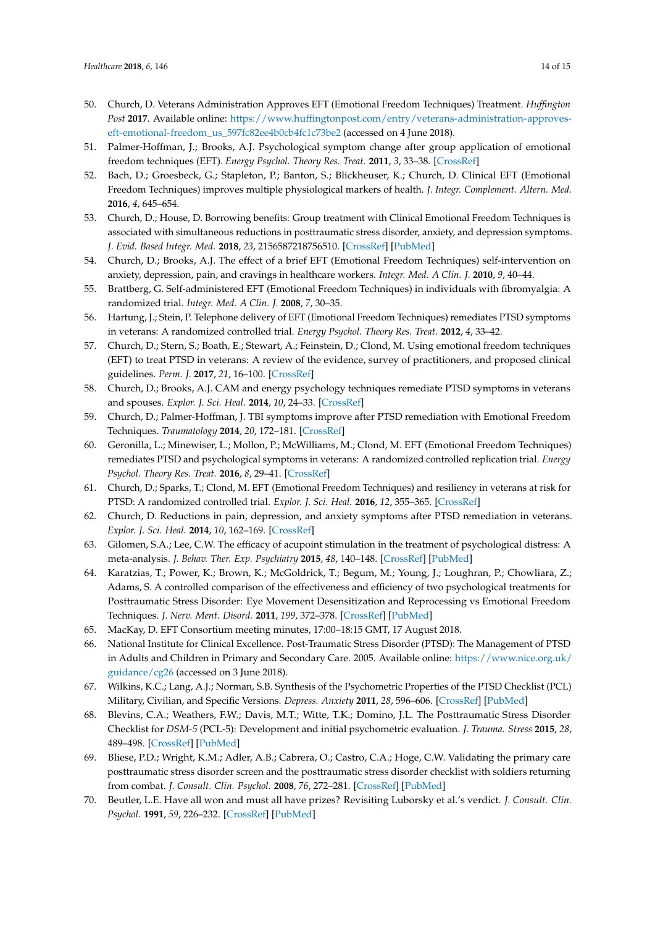- <span id="page-13-0"></span>50. Church, D. Veterans Administration Approves EFT (Emotional Freedom Techniques) Treatment. *Huffington Post* **2017**. Available online: [https://www.huffingtonpost.com/entry/veterans-administration-approves](https://www.huffingtonpost.com/entry/veterans-administration-approves-eft-emotional-freedom_us_597fc82ee4b0cb4fc1c73be2)[eft-emotional-freedom\\_us\\_597fc82ee4b0cb4fc1c73be2](https://www.huffingtonpost.com/entry/veterans-administration-approves-eft-emotional-freedom_us_597fc82ee4b0cb4fc1c73be2) (accessed on 4 June 2018).
- <span id="page-13-1"></span>51. Palmer-Hoffman, J.; Brooks, A.J. Psychological symptom change after group application of emotional freedom techniques (EFT). *Energy Psychol. Theory Res. Treat.* **2011**, *3*, 33–38. [\[CrossRef\]](http://dx.doi.org/10.9769/EPJ.2011.3.1.JPH)
- <span id="page-13-2"></span>52. Bach, D.; Groesbeck, G.; Stapleton, P.; Banton, S.; Blickheuser, K.; Church, D. Clinical EFT (Emotional Freedom Techniques) improves multiple physiological markers of health. *J. Integr. Complement. Altern. Med.* **2016**, *4*, 645–654.
- <span id="page-13-3"></span>53. Church, D.; House, D. Borrowing benefits: Group treatment with Clinical Emotional Freedom Techniques is associated with simultaneous reductions in posttraumatic stress disorder, anxiety, and depression symptoms. *J. Evid. Based Integr. Med.* **2018**, *23*, 2156587218756510. [\[CrossRef\]](http://dx.doi.org/10.1177/2156587218756510) [\[PubMed\]](http://www.ncbi.nlm.nih.gov/pubmed/29468884)
- <span id="page-13-8"></span>54. Church, D.; Brooks, A.J. The effect of a brief EFT (Emotional Freedom Techniques) self-intervention on anxiety, depression, pain, and cravings in healthcare workers. *Integr. Med. A Clin. J.* **2010**, *9*, 40–44.
- <span id="page-13-4"></span>55. Brattberg, G. Self-administered EFT (Emotional Freedom Techniques) in individuals with fibromyalgia: A randomized trial. *Integr. Med. A Clin. J.* **2008**, *7*, 30–35.
- <span id="page-13-5"></span>56. Hartung, J.; Stein, P. Telephone delivery of EFT (Emotional Freedom Techniques) remediates PTSD symptoms in veterans: A randomized controlled trial. *Energy Psychol. Theory Res. Treat.* **2012**, *4*, 33–42.
- <span id="page-13-6"></span>57. Church, D.; Stern, S.; Boath, E.; Stewart, A.; Feinstein, D.; Clond, M. Using emotional freedom techniques (EFT) to treat PTSD in veterans: A review of the evidence, survey of practitioners, and proposed clinical guidelines. *Perm. J.* **2017**, *21*, 16–100. [\[CrossRef\]](http://dx.doi.org/10.7812/TPP/16-100)
- <span id="page-13-7"></span>58. Church, D.; Brooks, A.J. CAM and energy psychology techniques remediate PTSD symptoms in veterans and spouses. *Explor. J. Sci. Heal.* **2014**, *10*, 24–33. [\[CrossRef\]](http://dx.doi.org/10.1016/j.explore.2013.10.006)
- <span id="page-13-9"></span>59. Church, D.; Palmer-Hoffman, J. TBI symptoms improve after PTSD remediation with Emotional Freedom Techniques. *Traumatology* **2014**, *20*, 172–181. [\[CrossRef\]](http://dx.doi.org/10.1037/h0099831)
- <span id="page-13-10"></span>60. Geronilla, L.; Minewiser, L.; Mollon, P.; McWilliams, M.; Clond, M. EFT (Emotional Freedom Techniques) remediates PTSD and psychological symptoms in veterans: A randomized controlled replication trial. *Energy Psychol. Theory Res. Treat.* **2016**, *8*, 29–41. [\[CrossRef\]](http://dx.doi.org/10.9769/EPJ.2016.8.2.LG)
- <span id="page-13-11"></span>61. Church, D.; Sparks, T.; Clond, M. EFT (Emotional Freedom Techniques) and resiliency in veterans at risk for PTSD: A randomized controlled trial. *Explor. J. Sci. Heal.* **2016**, *12*, 355–365. [\[CrossRef\]](http://dx.doi.org/10.1016/j.explore.2016.06.012)
- <span id="page-13-12"></span>62. Church, D. Reductions in pain, depression, and anxiety symptoms after PTSD remediation in veterans. *Explor. J. Sci. Heal.* **2014**, *10*, 162–169. [\[CrossRef\]](http://dx.doi.org/10.1016/j.explore.2014.02.005)
- <span id="page-13-13"></span>63. Gilomen, S.A.; Lee, C.W. The efficacy of acupoint stimulation in the treatment of psychological distress: A meta-analysis. *J. Behav. Ther. Exp. Psychiatry* **2015**, *48*, 140–148. [\[CrossRef\]](http://dx.doi.org/10.1016/j.jbtep.2015.03.012) [\[PubMed\]](http://www.ncbi.nlm.nih.gov/pubmed/25863484)
- 64. Karatzias, T.; Power, K.; Brown, K.; McGoldrick, T.; Begum, M.; Young, J.; Loughran, P.; Chowliara, Z.; Adams, S. A controlled comparison of the effectiveness and efficiency of two psychological treatments for Posttraumatic Stress Disorder: Eye Movement Desensitization and Reprocessing vs Emotional Freedom Techniques. *J. Nerv. Ment. Disord.* **2011**, *199*, 372–378. [\[CrossRef\]](http://dx.doi.org/10.1097/NMD.0b013e31821cd262) [\[PubMed\]](http://www.ncbi.nlm.nih.gov/pubmed/21629014)
- <span id="page-13-14"></span>65. MacKay, D. EFT Consortium meeting minutes, 17:00–18:15 GMT, 17 August 2018.
- <span id="page-13-15"></span>66. National Institute for Clinical Excellence. Post-Traumatic Stress Disorder (PTSD): The Management of PTSD in Adults and Children in Primary and Secondary Care. 2005. Available online: [https://www.nice.org.uk/](https://www.nice.org.uk/guidance/cg26) [guidance/cg26](https://www.nice.org.uk/guidance/cg26) (accessed on 3 June 2018).
- <span id="page-13-16"></span>67. Wilkins, K.C.; Lang, A.J.; Norman, S.B. Synthesis of the Psychometric Properties of the PTSD Checklist (PCL) Military, Civilian, and Specific Versions. *Depress. Anxiety* **2011**, *28*, 596–606. [\[CrossRef\]](http://dx.doi.org/10.1002/da.20837) [\[PubMed\]](http://www.ncbi.nlm.nih.gov/pubmed/21681864)
- <span id="page-13-17"></span>68. Blevins, C.A.; Weathers, F.W.; Davis, M.T.; Witte, T.K.; Domino, J.L. The Posttraumatic Stress Disorder Checklist for *DSM-5* (PCL-5): Development and initial psychometric evaluation. *J. Trauma. Stress* **2015**, *28*, 489–498. [\[CrossRef\]](http://dx.doi.org/10.1002/jts.22059) [\[PubMed\]](http://www.ncbi.nlm.nih.gov/pubmed/26606250)
- <span id="page-13-18"></span>69. Bliese, P.D.; Wright, K.M.; Adler, A.B.; Cabrera, O.; Castro, C.A.; Hoge, C.W. Validating the primary care posttraumatic stress disorder screen and the posttraumatic stress disorder checklist with soldiers returning from combat. *J. Consult. Clin. Psychol.* **2008**, *76*, 272–281. [\[CrossRef\]](http://dx.doi.org/10.1037/0022-006X.76.2.272) [\[PubMed\]](http://www.ncbi.nlm.nih.gov/pubmed/18377123)
- <span id="page-13-19"></span>70. Beutler, L.E. Have all won and must all have prizes? Revisiting Luborsky et al.'s verdict. *J. Consult. Clin. Psychol.* **1991**, *59*, 226–232. [\[CrossRef\]](http://dx.doi.org/10.1037/0022-006X.59.2.226) [\[PubMed\]](http://www.ncbi.nlm.nih.gov/pubmed/2030180)